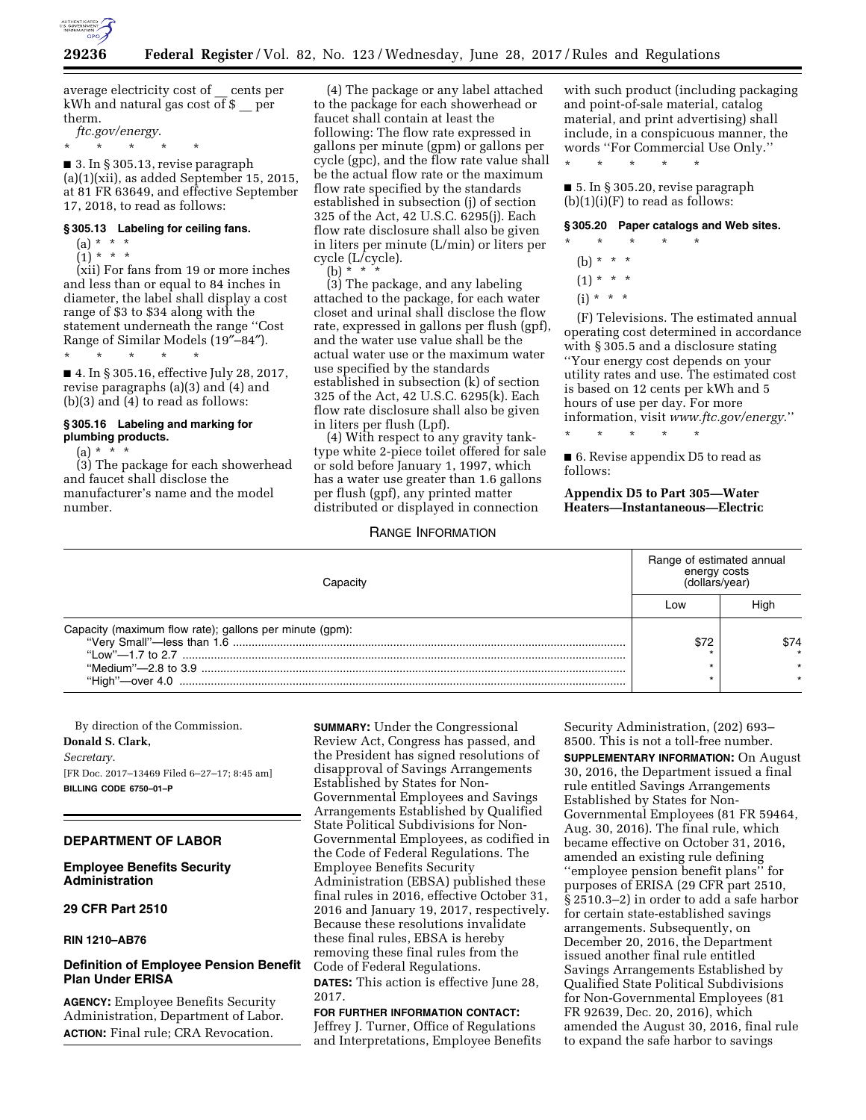

average electricity cost of \_\_ cents per kWh and natural gas cost of \$ \_\_ per therm.

*ftc.gov/energy*.

\* \* \* \* \* ■ 3. In § 305.13, revise paragraph (a)(1)(xii), as added September 15, 2015, at 81 FR 63649, and effective September 17, 2018, to read as follows:

### **§ 305.13 Labeling for ceiling fans.**

- $(a) * * * *$
- $(1) * * * *$

(xii) For fans from 19 or more inches and less than or equal to 84 inches in diameter, the label shall display a cost range of \$3 to \$34 along with the statement underneath the range ''Cost Range of Similar Models (19″–84″).

\* \* \* \* \* ■ 4. In § 305.16, effective July 28, 2017, revise paragraphs (a)(3) and (4) and (b)(3) and (4) to read as follows:

## **§ 305.16 Labeling and marking for plumbing products.**

 $(a) * * * *$ 

(3) The package for each showerhead and faucet shall disclose the manufacturer's name and the model number.

(4) The package or any label attached to the package for each showerhead or faucet shall contain at least the following: The flow rate expressed in gallons per minute (gpm) or gallons per cycle (gpc), and the flow rate value shall be the actual flow rate or the maximum flow rate specified by the standards established in subsection (j) of section 325 of the Act, 42 U.S.C. 6295(j). Each flow rate disclosure shall also be given in liters per minute (L/min) or liters per cycle (L/cycle).

(b) \* \* \* (3) The package, and any labeling attached to the package, for each water closet and urinal shall disclose the flow rate, expressed in gallons per flush (gpf), and the water use value shall be the actual water use or the maximum water use specified by the standards established in subsection (k) of section 325 of the Act, 42 U.S.C. 6295(k). Each flow rate disclosure shall also be given in liters per flush (Lpf).

(4) With respect to any gravity tanktype white 2-piece toilet offered for sale or sold before January 1, 1997, which has a water use greater than 1.6 gallons per flush (gpf), any printed matter distributed or displayed in connection

RANGE INFORMATION

with such product (including packaging and point-of-sale material, catalog material, and print advertising) shall include, in a conspicuous manner, the words ''For Commercial Use Only.''

\* \* \* \* \*

■ 5. In § 305.20, revise paragraph  $(b)(1)(i)(F)$  to read as follows:

### **§ 305.20 Paper catalogs and Web sites.**

- \* \* \* \* \*
	- (b)  $* * * *$
	- $(1) * * * *$
	- $(i) * * * *$

(F) Televisions. The estimated annual operating cost determined in accordance with § 305.5 and a disclosure stating ''Your energy cost depends on your utility rates and use. The estimated cost is based on 12 cents per kWh and 5 hours of use per day. For more information, visit *[www.ftc.gov/energy](http://www.ftc.gov/energy)*.''

■ 6. Revise appendix D5 to read as follows:

\* \* \* \* \*

**Appendix D5 to Part 305—Water Heaters—Instantaneous—Electric** 

|                                                         | Range of estimated annual<br>energy costs<br>(dollars/year) |      |
|---------------------------------------------------------|-------------------------------------------------------------|------|
|                                                         | Low                                                         | Hiar |
| Capacity (maximum flow rate); gallons per minute (gpm): | \$72                                                        | \$74 |
|                                                         |                                                             |      |
| "High"-over 4.0                                         |                                                             |      |

By direction of the Commission. **Donald S. Clark,**  *Secretary.*  [FR Doc. 2017–13469 Filed 6–27–17; 8:45 am] **BILLING CODE 6750–01–P** 

### **DEPARTMENT OF LABOR**

### **Employee Benefits Security Administration**

## **29 CFR Part 2510**

**RIN 1210–AB76** 

# **Definition of Employee Pension Benefit Plan Under ERISA**

**AGENCY:** Employee Benefits Security Administration, Department of Labor. **ACTION:** Final rule; CRA Revocation.

**SUMMARY:** Under the Congressional Review Act, Congress has passed, and the President has signed resolutions of disapproval of Savings Arrangements Established by States for Non-Governmental Employees and Savings Arrangements Established by Qualified State Political Subdivisions for Non-Governmental Employees, as codified in the Code of Federal Regulations. The Employee Benefits Security Administration (EBSA) published these final rules in 2016, effective October 31, 2016 and January 19, 2017, respectively. Because these resolutions invalidate these final rules, EBSA is hereby removing these final rules from the Code of Federal Regulations. **DATES:** This action is effective June 28, 2017.

**FOR FURTHER INFORMATION CONTACT:**  Jeffrey J. Turner, Office of Regulations and Interpretations, Employee Benefits Security Administration, (202) 693– 8500. This is not a toll-free number.

**SUPPLEMENTARY INFORMATION:** On August 30, 2016, the Department issued a final rule entitled Savings Arrangements Established by States for Non-Governmental Employees (81 FR 59464, Aug. 30, 2016). The final rule, which became effective on October 31, 2016, amended an existing rule defining ''employee pension benefit plans'' for purposes of ERISA (29 CFR part 2510, § 2510.3–2) in order to add a safe harbor for certain state-established savings arrangements. Subsequently, on December 20, 2016, the Department issued another final rule entitled Savings Arrangements Established by Qualified State Political Subdivisions for Non-Governmental Employees (81 FR 92639, Dec. 20, 2016), which amended the August 30, 2016, final rule to expand the safe harbor to savings